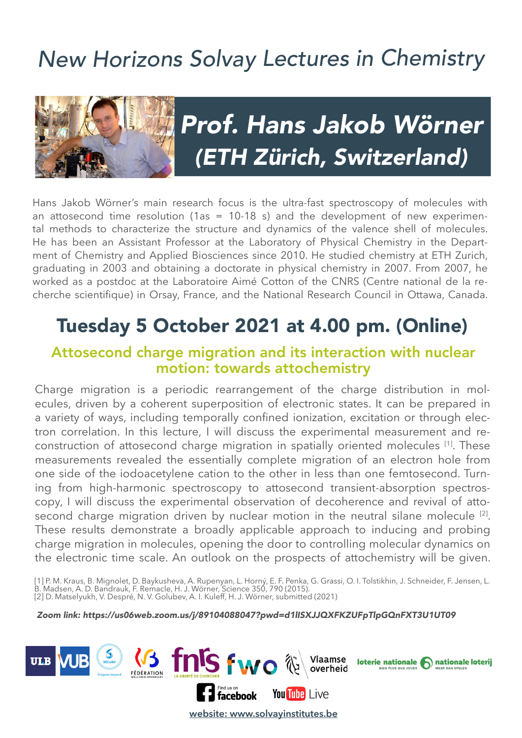## New Horizons Solvay Lectures in Chemistry



# Prof. Hans Jakob Wörner (ETH Zürich, Switzerland)

Hans Jakob Wörner's main research focus is the ultra-fast spectroscopy of molecules with an attosecond time resolution (1as = 10-18 s) and the development of new experimental methods to characterize the structure and dynamics of the valence shell of molecules. He has been an Assistant Professor at the Laboratory of Physical Chemistry in the Department of Chemistry and Applied Biosciences since 2010. He studied chemistry at ETH Zurich, graduating in 2003 and obtaining a doctorate in physical chemistry in 2007. From 2007, he worked as a postdoc at the Laboratoire Aimé Cotton of the CNRS (Centre national de la recherche scientifque) in Orsay, France, and the National Research Council in Ottawa, Canada.

### Tuesday 5 October 2021 at 4.00 pm. (Online)

#### Attosecond charge migration and its interaction with nuclear motion: towards attochemistry

Charge migration is a periodic rearrangement of the charge distribution in molecules, driven by a coherent superposition of electronic states. It can be prepared in a variety of ways, including temporally confined ionization, excitation or through electron correlation. In this lecture, I will discuss the experimental measurement and reconstruction of attosecond charge migration in spatially oriented molecules [1]. These measurements revealed the essentially complete migration of an electron hole from one side of the iodoacetylene cation to the other in less than one femtosecond. Turning from high-harmonic spectroscopy to attosecond transient-absorption spectroscopy, I will discuss the experimental observation of decoherence and revival of attosecond charge migration driven by nuclear motion in the neutral silane molecule <sup>[2]</sup>. These results demonstrate a broadly applicable approach to inducing and probing charge migration in molecules, opening the door to controlling molecular dynamics on the electronic time scale. An outlook on the prospects of attochemistry will be given.

[1] P. M. Kraus, B. Mignolet, D. Baykusheva, A. Rupenyan, L. Horný, E. F. Penka, G. Grassi, O. I. Tolstikhin, J. Schneider, F. Jensen, L. B. Madsen, A. D. Bandrauk, F. Remacle, H. J. Wörner, Science 350, 790 (2015). [2] D. Matselyukh, V. Despré, N. V. Golubev, A. I. Kuleff, H. J. Wörner, submitted (2021)

Zoom link: https://us06web.zoom.us/j/89104088047?pwd=d1lISXJJQXFKZUFpTlpGQnFXT3U1UT09